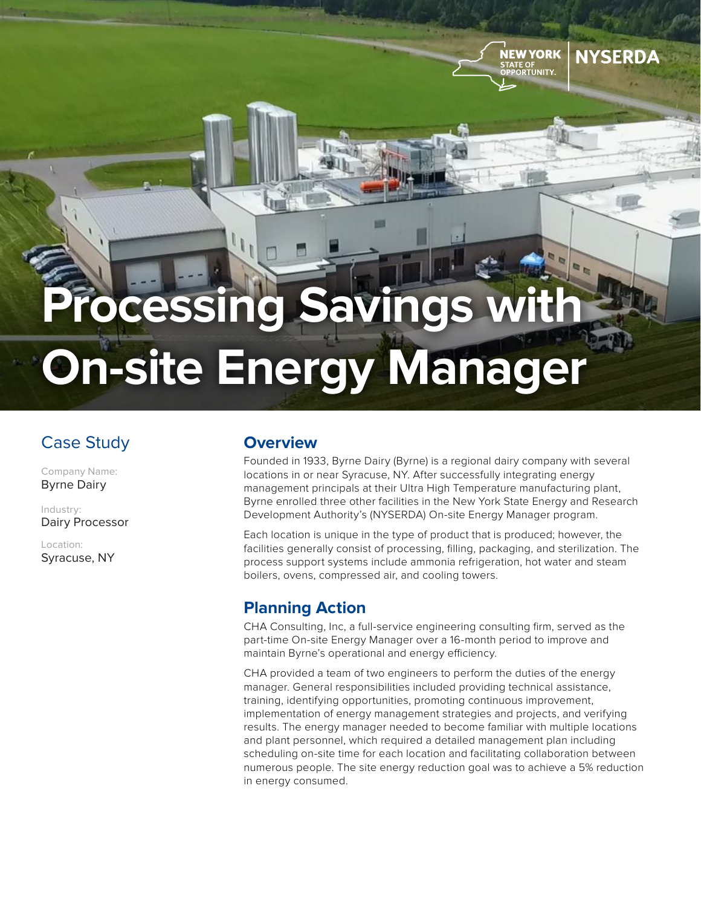# **Processing Savings On-site Energy Manager**

## Case Study

Company Name: Byrne Dairy

Industry: Dairy Processor

Location: Syracuse, NY

#### **Overview**

Founded in 1933, Byrne Dairy (Byrne) is a regional dairy company with several locations in or near Syracuse, NY. After successfully integrating energy management principals at their Ultra High Temperature manufacturing plant, Byrne enrolled three other facilities in the New York State Energy and Research Development Authority's (NYSERDA) On-site Energy Manager program.

NEW YORK

**NYSERDA** 

Each location is unique in the type of product that is produced; however, the facilities generally consist of processing, filling, packaging, and sterilization. The process support systems include ammonia refrigeration, hot water and steam boilers, ovens, compressed air, and cooling towers.

#### **Planning Action**

CHA Consulting, Inc, a full-service engineering consulting firm, served as the part-time On-site Energy Manager over a 16-month period to improve and maintain Byrne's operational and energy efficiency.

CHA provided a team of two engineers to perform the duties of the energy manager. General responsibilities included providing technical assistance, training, identifying opportunities, promoting continuous improvement, implementation of energy management strategies and projects, and verifying results. The energy manager needed to become familiar with multiple locations and plant personnel, which required a detailed management plan including scheduling on-site time for each location and facilitating collaboration between numerous people. The site energy reduction goal was to achieve a 5% reduction in energy consumed.